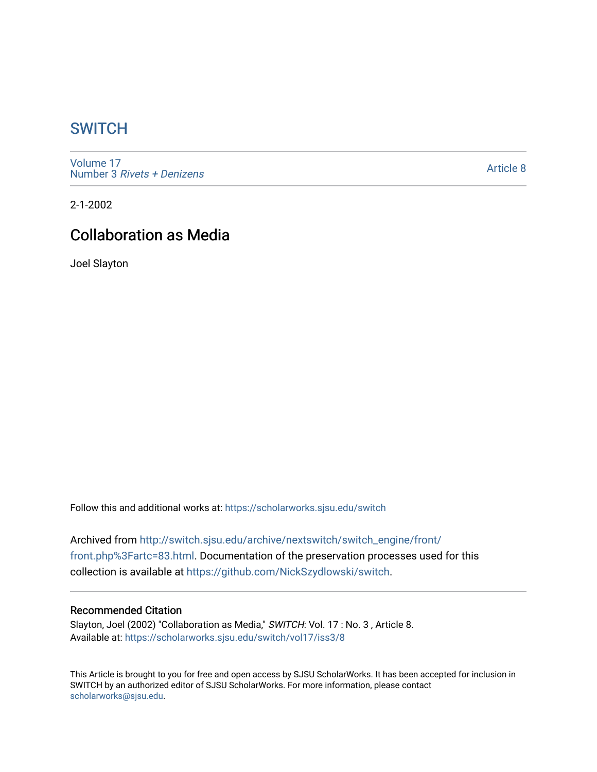## **SWITCH**

[Volume 17](https://scholarworks.sjsu.edu/switch/vol17) Number 3 [Rivets + Denizens](https://scholarworks.sjsu.edu/switch/vol17/iss3)

[Article 8](https://scholarworks.sjsu.edu/switch/vol17/iss3/8) 

2-1-2002

# Collaboration as Media

Joel Slayton

Follow this and additional works at: [https://scholarworks.sjsu.edu/switch](https://scholarworks.sjsu.edu/switch?utm_source=scholarworks.sjsu.edu%2Fswitch%2Fvol17%2Fiss3%2F8&utm_medium=PDF&utm_campaign=PDFCoverPages)

Archived from [http://switch.sjsu.edu/archive/nextswitch/switch\\_engine/front/](http://switch.sjsu.edu/archive/nextswitch/switch_engine/front/front.php%3Fartc=83.html) [front.php%3Fartc=83.html](http://switch.sjsu.edu/archive/nextswitch/switch_engine/front/front.php%3Fartc=83.html). Documentation of the preservation processes used for this collection is available at [https://github.com/NickSzydlowski/switch.](https://github.com/NickSzydlowski/switch)

### Recommended Citation

Slayton, Joel (2002) "Collaboration as Media," SWITCH: Vol. 17 : No. 3 , Article 8. Available at: [https://scholarworks.sjsu.edu/switch/vol17/iss3/8](https://scholarworks.sjsu.edu/switch/vol17/iss3/8?utm_source=scholarworks.sjsu.edu%2Fswitch%2Fvol17%2Fiss3%2F8&utm_medium=PDF&utm_campaign=PDFCoverPages) 

This Article is brought to you for free and open access by SJSU ScholarWorks. It has been accepted for inclusion in SWITCH by an authorized editor of SJSU ScholarWorks. For more information, please contact [scholarworks@sjsu.edu](mailto:scholarworks@sjsu.edu).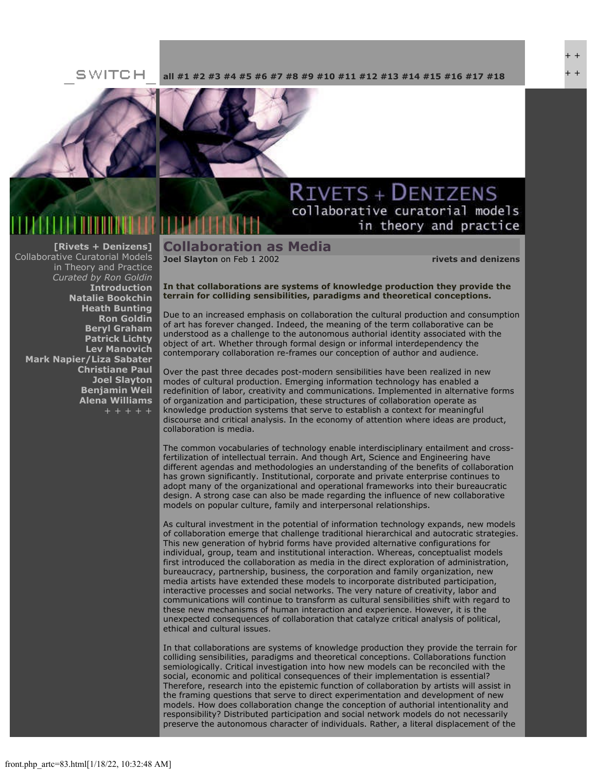### SWITCH **[all](file:///Users/nszydlowski/Desktop/websites%20copy/Switch%20Journal/switch.sjsu.edu/archive/nextswitch/switch_engine/front/front.php.html) [#1](file:///Users/nszydlowski/Desktop/websites%20copy/Switch%20Journal/switch.sjsu.edu/archive/nextswitch/switch_engine/front/front.php_cat%3d5.html) [#2](file:///Users/nszydlowski/Desktop/websites%20copy/Switch%20Journal/switch.sjsu.edu/archive/nextswitch/switch_engine/front/front.php_cat%3d6.html) [#3](file:///Users/nszydlowski/Desktop/websites%20copy/Switch%20Journal/switch.sjsu.edu/archive/nextswitch/switch_engine/front/front.php_cat%3d7.html) [#4](file:///Users/nszydlowski/Desktop/websites%20copy/Switch%20Journal/switch.sjsu.edu/archive/nextswitch/switch_engine/front/front.php_cat%3d8.html) [#5](file:///Users/nszydlowski/Desktop/websites%20copy/Switch%20Journal/switch.sjsu.edu/archive/nextswitch/switch_engine/front/front.php_cat%3d9.html) [#6](file:///Users/nszydlowski/Desktop/websites%20copy/Switch%20Journal/switch.sjsu.edu/archive/nextswitch/switch_engine/front/front.php_cat%3d10.html) [#7](file:///Users/nszydlowski/Desktop/websites%20copy/Switch%20Journal/switch.sjsu.edu/archive/nextswitch/switch_engine/front/front.php_cat%3d11.html) [#8](file:///Users/nszydlowski/Desktop/websites%20copy/Switch%20Journal/switch.sjsu.edu/archive/nextswitch/switch_engine/front/front.php_cat%3d12.html) [#9](file:///Users/nszydlowski/Desktop/websites%20copy/Switch%20Journal/switch.sjsu.edu/archive/nextswitch/switch_engine/front/front.php_cat%3d13.html) [#10](file:///Users/nszydlowski/Desktop/websites%20copy/Switch%20Journal/switch.sjsu.edu/archive/nextswitch/switch_engine/front/front.php_cat%3d14.html) [#11](file:///Users/nszydlowski/Desktop/websites%20copy/Switch%20Journal/switch.sjsu.edu/archive/nextswitch/switch_engine/front/front.php_cat%3d15.html) [#12](file:///Users/nszydlowski/Desktop/websites%20copy/Switch%20Journal/switch.sjsu.edu/archive/nextswitch/switch_engine/front/front.php_cat%3d16.html) [#13](file:///Users/nszydlowski/Desktop/websites%20copy/Switch%20Journal/switch.sjsu.edu/archive/nextswitch/switch_engine/front/front.php_cat%3d17.html) [#14](file:///Users/nszydlowski/Desktop/websites%20copy/Switch%20Journal/switch.sjsu.edu/archive/nextswitch/switch_engine/front/front.php_cat%3d18.html) [#15](file:///Users/nszydlowski/Desktop/websites%20copy/Switch%20Journal/switch.sjsu.edu/archive/nextswitch/switch_engine/front/front.php_cat%3d19.html) [#16](file:///Users/nszydlowski/Desktop/websites%20copy/Switch%20Journal/switch.sjsu.edu/archive/nextswitch/switch_engine/front/front.php_cat%3d20.html) [#17](file:///Users/nszydlowski/Desktop/websites%20copy/Switch%20Journal/switch.sjsu.edu/archive/nextswitch/switch_engine/front/front.php_cat%3d21.html) [#18](file:///Users/nszydlowski/Desktop/websites%20copy/Switch%20Journal/switch.sjsu.edu/archive/nextswitch/switch_engine/front/front.php_cat%3d44.html)**



### **[\[Rivets + Denizens\]](file:///Users/nszydlowski/Desktop/websites%20copy/Switch%20Journal/switch.sjsu.edu/archive/nextswitch/switch_engine/front/front.php_cat%3d27.html)** Collaborative Curatorial Models in Theory and Practice *Curated by Ron Goldin* **[Introduction](file:///Users/nszydlowski/Desktop/websites%20copy/Switch%20Journal/switch.sjsu.edu/archive/nextswitch/switch_engine/front/front.php_artc%3d67.html) [Natalie Bookchin](file:///Users/nszydlowski/Desktop/websites%20copy/Switch%20Journal/switch.sjsu.edu/archive/nextswitch/switch_engine/front/front.php_artc%3d66.html) [Heath Bunting](file:///Users/nszydlowski/Desktop/websites%20copy/Switch%20Journal/switch.sjsu.edu/archive/nextswitch/switch_engine/front/front.php_artc%3d106.html) [Ron Goldin](file:///Users/nszydlowski/Desktop/websites%20copy/Switch%20Journal/switch.sjsu.edu/archive/nextswitch/switch_engine/front/front.php_artc%3d46.html) [Beryl Graham](file:///Users/nszydlowski/Desktop/websites%20copy/Switch%20Journal/switch.sjsu.edu/archive/nextswitch/switch_engine/front/front.php_artc%3d136.html) [Patrick Lichty](file:///Users/nszydlowski/Desktop/websites%20copy/Switch%20Journal/switch.sjsu.edu/archive/nextswitch/switch_engine/front/front.php_artc%3d72.html) [Lev Manovich](file:///Users/nszydlowski/Desktop/websites%20copy/Switch%20Journal/switch.sjsu.edu/archive/nextswitch/switch_engine/front/front.php_artc%3d65.html) [Mark Napier/Liza Sabater](file:///Users/nszydlowski/Desktop/websites%20copy/Switch%20Journal/switch.sjsu.edu/archive/nextswitch/switch_engine/front/front.php_artc%3d82.html) [Christiane Paul](file:///Users/nszydlowski/Desktop/websites%20copy/Switch%20Journal/switch.sjsu.edu/archive/nextswitch/switch_engine/front/front.php_artc%3d70.html) [Joel Slayton](file:///Users/nszydlowski/Desktop/websites%20copy/Switch%20Journal/switch.sjsu.edu/archive/nextswitch/switch_engine/front/front.php_artc%3d83.html) [Benjamin Weil](file:///Users/nszydlowski/Desktop/websites%20copy/Switch%20Journal/switch.sjsu.edu/archive/nextswitch/switch_engine/front/front.php_artc%3d76.html) [Alena Williams](file:///Users/nszydlowski/Desktop/websites%20copy/Switch%20Journal/switch.sjsu.edu/archive/nextswitch/switch_engine/front/front.php_artc%3d99.html)**

## **RIVETS + DENIZENS** collaborative curatorial models in theory and practice

**Collaboration as Media** 

**[Joel Slayton](file:///Users/nszydlowski/Desktop/websites%20copy/Switch%20Journal/switch.sjsu.edu/archive/nextswitch/switch_engine/front/users.php_w%3d35.html)** on Feb 1 2002 **[rivets and denizens](file:///Users/nszydlowski/Desktop/websites%20copy/Switch%20Journal/switch.sjsu.edu/archive/nextswitch/switch_engine/front/front.php_cat%3d27.html)**

**In that collaborations are systems of knowledge production they provide the terrain for colliding sensibilities, paradigms and theoretical conceptions.** 

Due to an increased emphasis on collaboration the cultural production and consumption of art has forever changed. Indeed, the meaning of the term collaborative can be understood as a challenge to the autonomous authorial identity associated with the object of art. Whether through formal design or informal interdependency the contemporary collaboration re-frames our conception of author and audience.

Over the past three decades post-modern sensibilities have been realized in new modes of cultural production. Emerging information technology has enabled a redefinition of labor, creativity and communications. Implemented in alternative forms of organization and participation, these structures of collaboration operate as knowledge production systems that serve to establish a context for meaningful discourse and critical analysis. In the economy of attention where ideas are product, collaboration is media.

The common vocabularies of technology enable interdisciplinary entailment and crossfertilization of intellectual terrain. And though Art, Science and Engineering have different agendas and methodologies an understanding of the benefits of collaboration has grown significantly. Institutional, corporate and private enterprise continues to adopt many of the organizational and operational frameworks into their bureaucratic design. A strong case can also be made regarding the influence of new collaborative models on popular culture, family and interpersonal relationships.

As cultural investment in the potential of information technology expands, new models of collaboration emerge that challenge traditional hierarchical and autocratic strategies. This new generation of hybrid forms have provided alternative configurations for individual, group, team and institutional interaction. Whereas, conceptualist models first introduced the collaboration as media in the direct exploration of administration, bureaucracy, partnership, business, the corporation and family organization, new media artists have extended these models to incorporate distributed participation, interactive processes and social networks. The very nature of creativity, labor and communications will continue to transform as cultural sensibilities shift with regard to these new mechanisms of human interaction and experience. However, it is the unexpected consequences of collaboration that catalyze critical analysis of political, ethical and cultural issues.

In that collaborations are systems of knowledge production they provide the terrain for colliding sensibilities, paradigms and theoretical conceptions. Collaborations function semiologically. Critical investigation into how new models can be reconciled with the social, economic and political consequences of their implementation is essential? Therefore, research into the epistemic function of collaboration by artists will assist in the framing questions that serve to direct experimentation and development of new models. How does collaboration change the conception of authorial intentionality and responsibility? Distributed participation and social network models do not necessarily preserve the autonomous character of individuals. Rather, a literal displacement of the